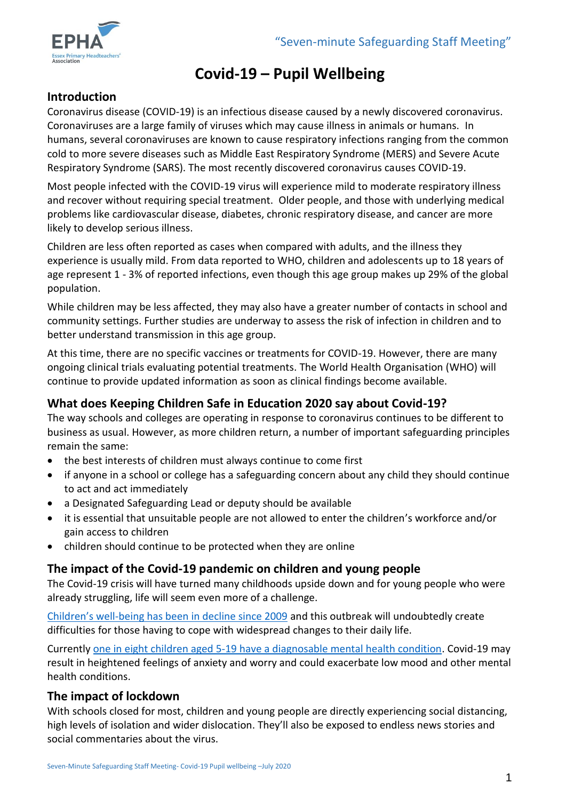

# **Covid-19 – Pupil Wellbeing**

## **Introduction**

Coronavirus disease (COVID-19) is an infectious disease caused by a newly discovered coronavirus. Coronaviruses are a large family of viruses which may cause illness in animals or humans. In humans, several coronaviruses are known to cause respiratory infections ranging from the common cold to more severe diseases such as Middle East Respiratory Syndrome (MERS) and Severe Acute Respiratory Syndrome (SARS). The most recently discovered coronavirus causes COVID-19.

Most people infected with the COVID-19 virus will experience mild to moderate respiratory illness and recover without requiring special treatment. Older people, and those with underlying medical problems like cardiovascular disease, diabetes, chronic respiratory disease, and cancer are more likely to develop serious illness.

Children are less often reported as cases when compared with adults, and the illness they experience is usually mild. From data reported to WHO, children and adolescents up to 18 years of age represent 1 - 3% of reported infections, even though this age group makes up 29% of the global population.

While children may be less affected, they may also have a greater number of contacts in school and community settings. Further studies are underway to assess the risk of infection in children and to better understand transmission in this age group.

At this time, there are no specific vaccines or treatments for COVID-19. However, there are many ongoing clinical trials evaluating potential treatments. The World Health Organisation (WHO) will continue to provide updated information as soon as clinical findings become available.

## **What does Keeping Children Safe in Education 2020 say about Covid-19?**

The way schools and colleges are operating in response to coronavirus continues to be different to business as usual. However, as more children return, a number of important safeguarding principles remain the same:

- the best interests of children must always continue to come first
- if anyone in a school or college has a safeguarding concern about any child they should continue to act and act immediately
- a Designated Safeguarding Lead or deputy should be available
- it is essential that unsuitable people are not allowed to enter the children's workforce and/or gain access to children
- children should continue to be protected when they are online

## **The impact of the Covid-19 pandemic on children and young people**

The Covid-19 crisis will have turned many childhoods upside down and for young people who were already struggling, life will seem even more of a challenge.

Children's well[-being has been in decline since 2009](https://www.childrenssociety.org.uk/good-childhood-report) and this outbreak will undoubtedly create difficulties for those having to cope with widespread changes to their daily life.

Currently [one in eight children aged 5-19 have a diagnosable mental health condition.](https://www.childrenssociety.org.uk/news-and-blogs/our-blog/new-mental-health-statistics-raise-concern-over-support-for-young-people) Covid-19 may result in heightened feelings of anxiety and worry and could exacerbate low mood and other mental health conditions.

## **The impact of lockdown**

With schools closed for most, children and young people are directly experiencing social distancing, high levels of isolation and wider dislocation. They'll also be exposed to endless news stories and social commentaries about the virus.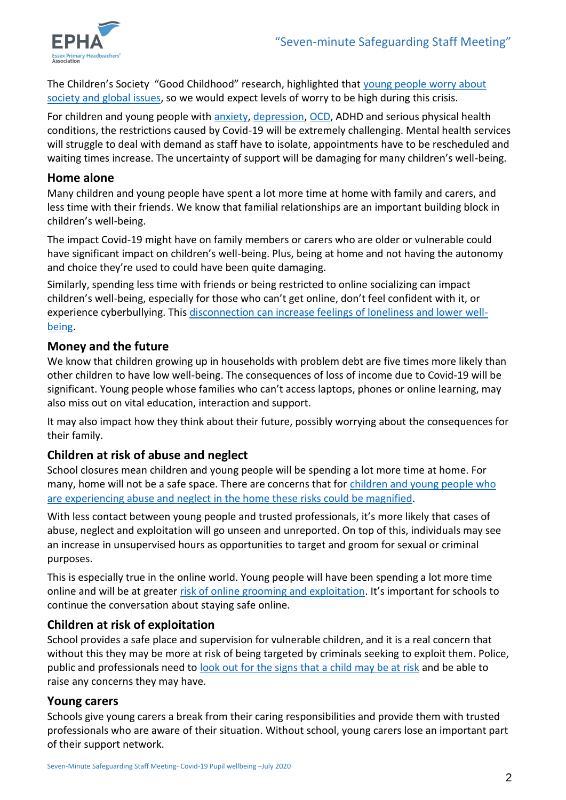

The Children's Society "Good Childhood" research, highlighted that [young people worry about](https://www.childrenssociety.org.uk/good-childhood)  [society and global issues,](https://www.childrenssociety.org.uk/good-childhood) so we would expect levels of worry to be high during this crisis.

For children and young people with [anxiety,](https://www.childrenssociety.org.uk/mental-health-advice-for-children-and-young-people/anxiety) [depression,](https://www.childrenssociety.org.uk/mental-health-advice-for-children-and-young-people/depression-and-low-mood) [OCD,](https://www.childrenssociety.org.uk/mental-health-advice-for-children-and-young-people/ocd) ADHD and serious physical health conditions, the restrictions caused by Covid-19 will be extremely challenging. Mental health services will struggle to deal with demand as staff have to isolate, appointments have to be rescheduled and waiting times increase. The uncertainty of support will be damaging for many children's well-being.

#### **Home alone**

Many children and young people have spent a lot more time at home with family and carers, and less time with their friends. We know that familial relationships are an important building block in children's well-being.

The impact Covid-19 might have on family members or carers who are older or vulnerable could have significant impact on children's well-being. Plus, being at home and not having the autonomy and choice they're used to could have been quite damaging.

Similarly, spending less time with friends or being restricted to online socializing can impact children's well-being, especially for those who can't get online, don't feel confident with it, or experience cyberbullying. This [disconnection can increase feelings of loneliness and lower well](https://www.childrenssociety.org.uk/news-and-blogs/our-blog/exploring-loneliness-and-well-being-among-10-and-17-year-olds)[being.](https://www.childrenssociety.org.uk/news-and-blogs/our-blog/exploring-loneliness-and-well-being-among-10-and-17-year-olds)

#### **Money and the future**

We know that children growing up in households with problem debt are five times more likely than other children to have low well-being. The consequences of loss of income due to Covid-19 will be significant. Young people whose families who can't access laptops, phones or online learning, may also miss out on vital education, interaction and support.

It may also impact how they think about their future, possibly worrying about the consequences for their family.

#### **Children at risk of abuse and neglect**

School closures mean children and young people will be spending a lot more time at home. For many, home will not be a safe space. There are concerns that for [children and young people who](https://www.childrenssociety.org.uk/news-and-blogs/our-blog/covid-19s-impact-on-children-at-risk-of-abuse-neglect-and-exploitation)  [are experiencing abuse and neglect in the home these risks could be magnified.](https://www.childrenssociety.org.uk/news-and-blogs/our-blog/covid-19s-impact-on-children-at-risk-of-abuse-neglect-and-exploitation)

With less contact between young people and trusted professionals, it's more likely that cases of abuse, neglect and exploitation will go unseen and unreported. On top of this, individuals may see an increase in unsupervised hours as opportunities to target and groom for sexual or criminal purposes.

This is especially true in the online world. Young people will have been spending a lot more time online and will be at greater [risk of online grooming and exploitation](https://www.childrenssociety.org.uk/what-we-do/our-work/tackling-criminal-exploitation-and-county-lines/online-exploitation-resources). It's important for schools to continue the conversation about staying safe online.

## **[Children at risk of exploitation](https://www.childrenssociety.org.uk/news-and-blogs/our-blog/covid-19s-impact-on-children-at-risk-of-abuse-neglect-and-exploitation)**

School provides a safe place and supervision for vulnerable children, and it is a real concern that without this they may be more at risk of being targeted by criminals seeking to exploit them. Police, public and professionals need to [look out for the signs that a child may be at risk](https://www.childrenssociety.org.uk/look-closer) and be able to raise any concerns they may have.

#### **[Young carers](https://www.childrenssociety.org.uk/what-we-do/our-work/supporting-young-carers)**

Schools give young carers a break from their caring responsibilities and provide them with trusted professionals who are aware of their situation. Without school, young carers lose an important part of their support network.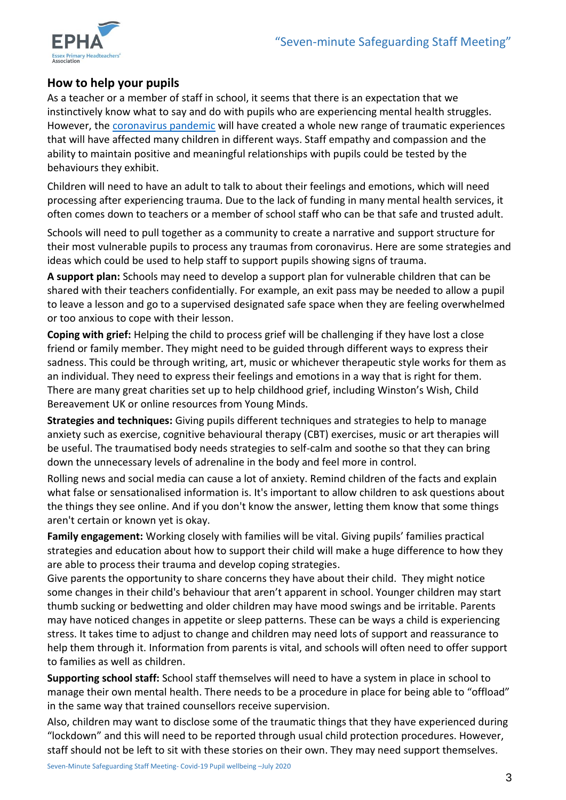

## **How to help your pupils**

As a teacher or a member of staff in school, it seems that there is an expectation that we instinctively know what to say and do with pupils who are experiencing mental health struggles. However, the [coronavirus pandemic](https://www.sec-ed.co.uk/search/coronavirus/) will have created a whole new range of traumatic experiences that will have affected many children in different ways. Staff empathy and compassion and the ability to maintain positive and meaningful relationships with pupils could be tested by the behaviours they exhibit.

Children will need to have an adult to talk to about their feelings and emotions, which will need processing after experiencing trauma. Due to the lack of funding in many mental health services, it often comes down to teachers or a member of school staff who can be that safe and trusted adult.

Schools will need to pull together as a community to create a narrative and support structure for their most vulnerable pupils to process any traumas from coronavirus. Here are some strategies and ideas which could be used to help staff to support pupils showing signs of trauma.

**A support plan:** Schools may need to develop a support plan for vulnerable children that can be shared with their teachers confidentially. For example, an exit pass may be needed to allow a pupil to leave a lesson and go to a supervised designated safe space when they are feeling overwhelmed or too anxious to cope with their lesson.

**Coping with grief:** Helping the child to process grief will be challenging if they have lost a close friend or family member. They might need to be guided through different ways to express their sadness. This could be through writing, art, music or whichever therapeutic style works for them as an individual. They need to express their feelings and emotions in a way that is right for them. There are many great charities set up to help childhood grief, including Winston's Wish, Child Bereavement UK or online resources from Young Minds.

**Strategies and techniques:** Giving pupils different techniques and strategies to help to manage anxiety such as exercise, cognitive behavioural therapy (CBT) exercises, music or art therapies will be useful. The traumatised body needs strategies to self-calm and soothe so that they can bring down the unnecessary levels of adrenaline in the body and feel more in control.

Rolling news and social media can cause a lot of anxiety. Remind children of the facts and explain what false or sensationalised information is. It's important to allow children to ask questions about the things they see online. And if you don't know the answer, letting them know that some things aren't certain or known yet is okay.

**Family engagement:** Working closely with families will be vital. Giving pupils' families practical strategies and education about how to support their child will make a huge difference to how they are able to process their trauma and develop coping strategies.

Give parents the opportunity to share concerns they have about their child. They might notice some changes in their child's behaviour that aren't apparent in school. Younger children may start thumb sucking or bedwetting and older children may have mood swings and be irritable. Parents may have noticed changes in appetite or sleep patterns. These can be ways a child is experiencing stress. It takes time to adjust to change and children may need lots of support and reassurance to help them through it. Information from parents is vital, and schools will often need to offer support to families as well as children.

**Supporting school staff:** School staff themselves will need to have a system in place in school to manage their own mental health. There needs to be a procedure in place for being able to "offload" in the same way that trained counsellors receive supervision.

Also, children may want to disclose some of the traumatic things that they have experienced during "lockdown" and this will need to be reported through usual child protection procedures. However, staff should not be left to sit with these stories on their own. They may need support themselves.